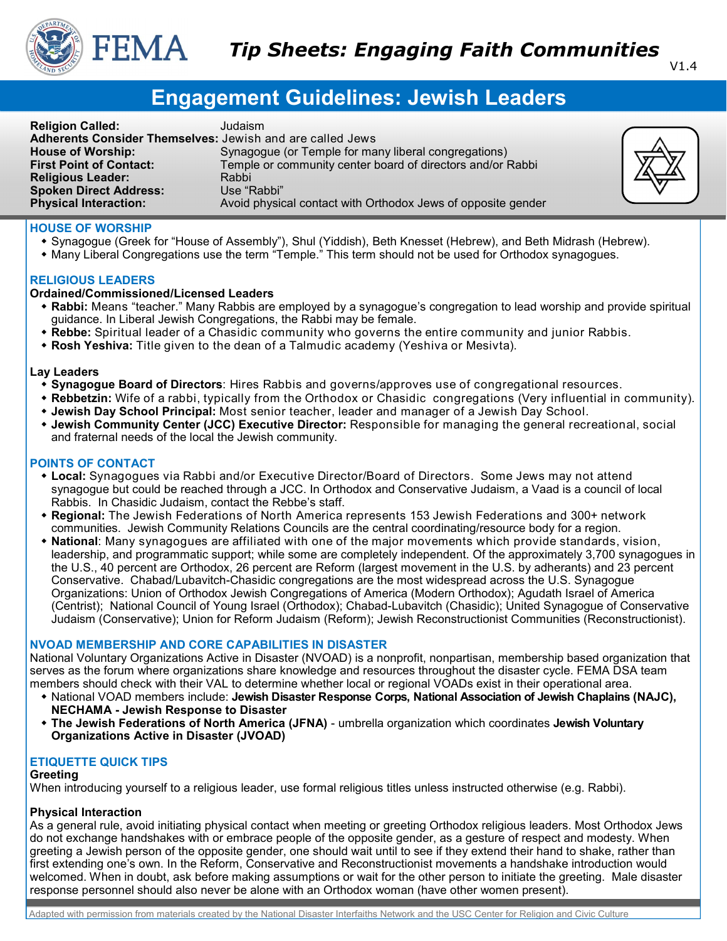

#### V1.4

# **Engagement Guidelines: Jewish Leaders**

| <b>Religion Called:</b>                                   | Judaism                                                      |
|-----------------------------------------------------------|--------------------------------------------------------------|
| Adherents Consider Themselves: Jewish and are called Jews |                                                              |
| <b>House of Worship:</b>                                  | Synagogue (or Temple for many liberal congregations)         |
| <b>First Point of Contact:</b>                            | Temple or community center board of directors and/or Rabbi   |
| <b>Religious Leader:</b>                                  | Rabbi                                                        |
| <b>Spoken Direct Address:</b>                             | Use "Rabbi"                                                  |
| <b>Physical Interaction:</b>                              | Avoid physical contact with Orthodox Jews of opposite gender |



## **HOUSE OF WORSHIP**

- Synagogue (Greek for "House of Assembly"), Shul (Yiddish), Beth Knesset (Hebrew), and Beth Midrash (Hebrew).
- Many Liberal Congregations use the term "Temple." This term should not be used for Orthodox synagogues.

#### **RELIGIOUS LEADERS**

#### **Ordained/Commissioned/Licensed Leaders**

- **Rabbi:** Means "teacher." Many Rabbis are employed by a synagogue's congregation to lead worship and provide spiritual guidance. In Liberal Jewish Congregations, the Rabbi may be female.
- **Rebbe:** Spiritual leader of a Chasidic community who governs the entire community and junior Rabbis.
- **Rosh Yeshiva:** Title given to the dean of a Talmudic academy (Yeshiva or Mesivta).

#### **Lay Leaders**

- **Synagogue Board of Directors**: Hires Rabbis and governs/approves use of congregational resources.
- **Rebbetzin:** Wife of a rabbi, typically from the Orthodox or Chasidic congregations (Very influential in community).
- **Jewish Day School Principal:** Most senior teacher, leader and manager of a Jewish Day School.
- **Jewish Community Center (JCC) Executive Director:** Responsible for managing the general recreational, social and fraternal needs of the local the Jewish community.

#### **POINTS OF CONTACT**

- **Local:** Synagogues via Rabbi and/or Executive Director/Board of Directors. Some Jews may not attend synagogue but could be reached through a JCC. In Orthodox and Conservative Judaism, a Vaad is a council of local Rabbis. In Chasidic Judaism, contact the Rebbe's staff.
- **Regional:** The Jewish Federations of North America represents 153 Jewish Federations and 300+ network communities. Jewish Community Relations Councils are the central coordinating/resource body for a region.
- **National**: Many synagogues are affiliated with one of the major movements which provide standards, vision, leadership, and programmatic support; while some are completely independent. Of the approximately 3,700 synagogues in the U.S., 40 percent are Orthodox, 26 percent are Reform (largest movement in the U.S. by adherants) and 23 percent Conservative. Chabad/Lubavitch-Chasidic congregations are the most widespread across the U.S. Synagogue Organizations: Union of Orthodox Jewish Congregations of America (Modern Orthodox); Agudath Israel of America (Centrist); National Council of Young Israel (Orthodox); Chabad-Lubavitch (Chasidic); United Synagogue of Conservative Judaism (Conservative); Union for Reform Judaism (Reform); Jewish Reconstructionist Communities (Reconstructionist).

## **NVOAD MEMBERSHIP AND CORE CAPABILITIES IN DISASTER**

National Voluntary Organizations Active in Disaster (NVOAD) is a nonprofit, nonpartisan, membership based organization that serves as the forum where organizations share knowledge and resources throughout the disaster cycle. FEMA DSA team members should check with their VAL to determine whether local or regional VOADs exist in their operational area.

- National VOAD members include: **Jewish Disaster Response Corps, National Association of Jewish Chaplains (NAJC), NECHAMA - Jewish Response to Disaster**
- **The Jewish Federations of North America (JFNA)**  umbrella organization which coordinates **Jewish Voluntary Organizations Active in Disaster (JVOAD)**

## **ETIQUETTE QUICK TIPS**

#### **Greeting**

When introducing yourself to a religious leader, use formal religious titles unless instructed otherwise (e.g. Rabbi).

## **Physical Interaction**

As a general rule, avoid initiating physical contact when meeting or greeting Orthodox religious leaders. Most Orthodox Jews do not exchange handshakes with or embrace people of the opposite gender, as a gesture of respect and modesty. When greeting a Jewish person of the opposite gender, one should wait until to see if they extend their hand to shake, rather than first extending one's own. In the Reform, Conservative and Reconstructionist movements a handshake introduction would welcomed. When in doubt, ask before making assumptions or wait for the other person to initiate the greeting. Male disaster response personnel should also never be alone with an Orthodox woman (have other women present).